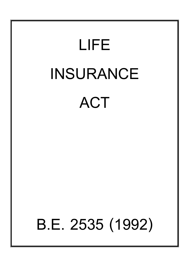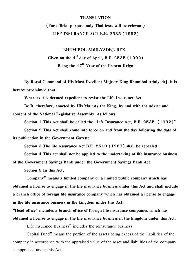#### **TRANSLATION**

**(For official purpose only Thai texts will be relevant) LIFE INSURANCE ACT B.E. 2535 (1992)**

**BHUMIBOL ADULYADEJ. REX.,** Given on the  $4^{th}$  day of April, B.E. 2535  $(1992)$ Being the  $47<sup>th</sup>$  Year of the Present Reign

**By Royal Command of His Most Excellent Majesty King Bhumibol Adulyadej, it is hereby proclaimed that:**

**Whereas it is deemed expedient to revise the Life Insurance Act.**

**Be It, therefore, enacted by His Majesty the King, by and with the advice and consent of the National Legislative Assembly. As follows:**

**Section 1 This Act shall be called the "Life Insurance Act, B.E. 2535. (1992)"**

**Section 2 This Act shall come into force on and from the day following the date of its publication in the Government Gazette.**

**Section 3 The life Assurance Act B.E. 2510 (1967) shall be repealed.**

**Section 4 This act shall not be applied to the undertaking of life insurance business of the Government Savings Bank under the Government Savings Bank Act.**

**Section 5 In this Act,**

**"Company" means a limited company or a limited public company which has obtained a license to engage in the life insurance business under this Act and shall include a branch office of foreign life insurance company which has obtained a license to engage in the life insurance business in the kingdom under this Act.**

**"Head office" includes a branch office of foreign life insurance companies which has obtained a license to engage in the life insurance business in the kingdom under this Act.**

"Life insurance Business" includes the reinsurance business.

"Capital Fund" means the portion of the assets being excess of the liabilities of the company in accordance with the appraised value of the asset and liabilities of the company as appraised under this Act.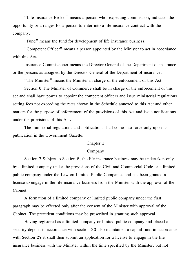"Life Insurance Broker" means a person who, expecting commission, indicates the opportunity or arranges for a person to enter into a life insurance contract with the company.

"Fund" means the fund for development of life insurance business.

"Competent Officer" means a person appointed by the Minister to act in accordance with this Act.

Insurance Commissioner means the Director General of the Department of insurance or the persons as assigned by the Director General of the Department of insurance.

"The Minister" means the Minister in charge of the enforcement of this Act.

Section 6 The Minister of Commerce shall be in charge of the enforcement of this act and shall have power to appoint the competent officers and issue ministerial regulations setting fees not exceeding the rates shown in the Schedule annexed to this Act and other matters for the purpose of enforcement of the provisions of this Act and issue notifications under the provisions of this Act.

The ministerial regulations and notifications shall come into force only upon its publication in the Government Gazette.

## Chapter 1

### Company

Section 7 Subject to Section 8, the life insurance business may be undertaken only by a limited company under the provisions of the Civil and Commercial Code or a limited public company under the Law on Limited Public Companies and has been granted a license to engage in the life insurance business from the Minister with the approval of the Cabinet.

A formation of a limited company or limited public company under the first paragraph may be effected only after the consent of the Minister with approval of the Cabinet. The precedent conditions may be prescribed in granting such approval.

Having registered as a limited company or limited public company and placed a security deposit in accordance with section 20 also maintained a capital fund in accordance with Section 27 it shall then submit an application for a license to engage in the life insurance business with the Minister within the time specified by the Minister, but not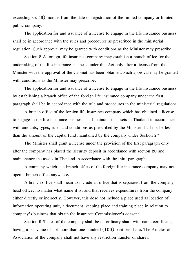exceeding six (6) months from the date of registration of the limited company or limited public company.

The application for and issuance of a license to engage in the life insurance business shall be in accordance with the rules and procedures as prescribed in the ministerial regulation. Such approval may be granted with conditions as the Minister may prescribe.

Section 8 A foreign life insurance company may establish a branch office for the undertaking of the life insurance business under this Act only after a license from the Minister with the approval of the Cabinet has been obtained. Such approval may be granted with conditions as the Minister may prescribe.

The application for and issuance of a license to engage in the life insurance business by establishing a branch office of the foreign life insurance company under the first paragraph shall be in accordance with the rule and procedures in the ministerial regulations.

A branch office of the foreign life insurance company which has obtained a license to engage in the life insurance business shall maintain its assets in Thailand in accordance with amounts, types, rules and conditions as prescribed by the Minister shall not be less than the amount of the capital fund maintained by the company under Section 27.

The Minister shall grant a license under the provision of the first paragraph only after the company has placed the security deposit in accordance with section 20 and maintenance the assets in Thailand in accordance with the third paragraph.

A company which is a branch office of the foreign life insurance company may not open a branch office anywhere.

A branch office shall mean to include an office that is separated from the company head office, no matter what name it is, and that receives expenditures from the company either directly or indirectly. However, this dose not include a place used as location of information operating unit, a document-keeping place and training place in relation to company's business that obtain the insurance Commissioner's consent.

Section 9 Shares of the company shall be an ordinary share with name certificate, having a par value of not more than one hundred (100) baht per share. The Articles of Association of the company shall not have any restriction transfer of shares.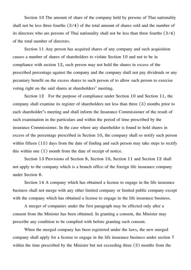Section 10 The amount of share of the company held by persons of Thai nationality shall not be less three fourths (3/4) of the total amount of shares sold and the number of its directors who are persons of Thai nationality shall not be less than three fourths (3/4) of the total number of directors.

Section 11 Any person has acquired shares of any company and such acquisition causes a number of shares of shareholders to violate Section 10 and not to be in compliance with section 12, such person may not hold the shares in excess of the prescribed percentage against the company and the company shall not pay dividends or any pecuniary benefit on the excess shares to such person of to allow such person to exercise voting right on the said shares at shareholders' meeting.

Section 12 For the purpose of compliance under Section 10 and Section 11, the company shall examine its register of shareholders not less than three (3) months prior to each shareholder's meeting and shall inform the Insurance Commissioner of the result of such examination in the particulars and within the period of time prescribed by the insurance Commissioner. In the case where any shareholder is found to hold shares in excess of the percentage prescribed in Section 10, the company shall so notify such person within fifteen (15) days from the date of finding and such person may take steps to rectify this within one (1) month from the date of receipt of notice.

Section 13 Provisions of Section 9, Section 10, Section 11 and Section 12 shall not apply to the company which is a branch office of the foreign life insurance company under Section 8.

Section 14 A company which has obtained a license to engage in the life insurance business shall not merge with any other limited company or limited public company except with the company which has obtained a license to engage in the life insurance business.

A merger of companies under the first paragraph may be effected only after a consent from the Minister has been obtained. In granting a consent, the Minister may prescribe any condition to be complied with before granting such consent.

When the merged company has been registered under the laws, the new merged company shall apply for a license to engage in the life insurance business under section 7 within the time prescribed by the Minister but not exceeding three (3) months from the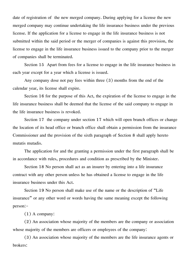date of registration of the new merged company. During applying for a license the new merged company may continue undertaking the life insurance business under the previous license. If the application for a license to engage in the life insurance business is not submitted within the said period or the merger of companies is against this provision, the license to engage in the life insurance business issued to the company prior to the merger of companies shall be terminated.

Section 15 Apart from fees for a license to engage in the life insurance business in each year except for a year which a license is issued.

Any company dose not pay fees within three (3) months from the end of the calendar year, its license shall expire.

Section 16 for the purpose of this Act, the expiration of the license to engage in the life insurance business shall be deemed that the license of the said company to engage in the life insurance business is revoked.

Section 17 the company under section 17 which will open branch offices or change the location of its head office or branch office shall obtain a permission from the insurance Commissioner and the provision of the sixth paragraph of Section 8 shall apply hereto mutatis mutadis.

The application for and the granting a permission under the first paragraph shall be in accordance with rules, procedures and condition as prescribed by the Minister.

Section 18 No person shall act as an insurer by entering into a life insurance contract with any other person unless he has obtained a license to engage in the life insurance business under this Act.

Section 19 No person shall make use of the name or the description of "Life insurance" or any other word or words having the same meaning except the following person:-

(1) A company:

(2) An association whose majority of the members are the company or association whose majority of the members are officers or employees of the company:

(3) An association whose majority of the members are the life insurance agents or brokers: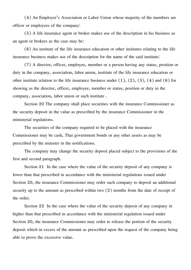(4) An Employer's Association or Labor Union whose majority of the members are officer or employees of the company:

(5) A life insurance agent or broker makes use of the description in his business as an agent or brokers as the case may be:

(6) An institute of the life insurance education or other institutes relating to the life insurance business makes use of the description for the name of the said institute:

(7) A director, officer, employee, member or a person having any status, position or duty in the company, association, labor union, institute of the life insurance education or other institute relation to the life insurance business under  $(1)$ ,  $(2)$ ,  $(3)$ ,  $(4)$  and  $(6)$  for showing as the director, officer, employee, member or status, position or duty in the company, association, labor union or such institute .

Section 20 The company shall place securities with the insurance Commissioner as the security deposit in the value as prescribed by the insurance Commissioner in the ministerial regulations.

The securities of the company required to be placed with the insurance Commissioner may be cash, Thai government bonds or any other assets as may be prescribed by the minister in the notifications.

The company may change the security deposit placed subject to the provisions of the first and second paragraph.

Section 21 In the case where the value of the security deposit of any company is lower than that prescribed in accordance with the ministerial regulations issued under Section 20, the insurance Commissioner may order such company to deposit an additional security up to the amount as prescribed within two (2) months from the date of receipt of the order.

Section 22 In the case where the value of the security deposit of any company in higher than that prescribed in accordance with the ministerial regulation issued under Section 20, the insurance Commissioner may order to release the portion of the security deposit which in excess of the amount as prescribed upon the request of the company being able to prove the excessive value.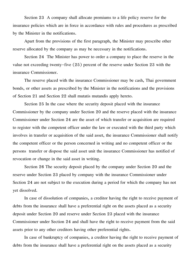Section 23 A company shall allocate premiums to a life policy reserve for the insurance policies which are in force in accordance with rules and procedures as prescribed by the Minister in the notifications.

Apart from the provisions of the first paragraph, the Minister may prescribe other reserve allocated by the company as may be necessary in the notifications.

Section 24 The Minister has power to order a company to place the reserve in the value not exceeding twenty-five (25) percent of the reserve under Section 23 with the insurance Commissioner.

The reserve placed with the insurance Commissioner may be cash, Thai government bonds, or other assets as prescribed by the Minister in the notifications and the provisions of Section 21 and Section 22 shall mutatis mutandis apply hereto.

Section 25 In the case where the security deposit placed with the insurance Commissioner by the company under Section 20 and the reserve placed with the insurance Commissioner under Section 24 are the asset of which transfer or acquisition are required to register with the competent officer under the law or executed with the third party which involves in transfer or acquisition of the said asset, the insurance Commissioner shall notify the competent officer or the person concerned in writing and no competent officer or the persons transfer or dispose the said asset unit the insurance Commissioner has notified of revocation or change in the said asset in writing.

Section 26 The security deposit placed by the company under Section 20 and the reserve under Section 23 placed by company with the insurance Commissioner under Section 24 are not subject to the execution during a period for which the company has not yet dissolved.

In case of dissolution of companies, a creditor having the right to receive payment of debts from the insurance shall have a preferential right on the assets placed as a security deposit under Section 20 and reserve under Section 23 placed with the insurance Commissioner under Section 24 and shall have the right to receive payment from the said assets prior to any other creditors having other preferential rights.

In case of bankruptcy of companies, a creditor having the right to receive payment of debts from the insurance shall have a preferential right on the assets placed as a security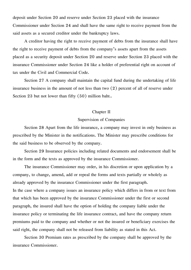deposit under Section 20 and reserve under Section 23 placed with the insurance Commissioner under Section 24 and shall have the same right to receive payment from the said assets as a secured creditor under the bankruptcy laws.

A creditor having the right to receive payment of debts from the insurance shall have the right to receive payment of debts from the company's assets apart from the assets placed as a security deposit under Section 20 and reserve under Section 23 placed with the insurance Commissioner under Section 24 like a holder of preferential right on account of tax under the Civil and Commercial Code.

Section 27 A company shall maintain the capital fund during the undertaking of life insurance business in the amount of not less than two (2) percent of all of reserve under Section 23 but not lower than fifty (50) million baht..

### Chapter II

## Supervision of Companies

Section 28 Apart from the life insurance, a company may invest in only business as prescribed by the Minister in the notifications. The Minister may prescribe conditions for the said business to be observed by the company.

Section 29 Insurance policies including related documents and endorsement shall be in the form and the texts as approved by the insurance Commissioner.

The insurance Commissioner may order, in his discretion or upon application by a company, to change, amend, add or repeal the forms and texts partially or wholely as already approved by the insurance Commissioner under the first paragraph. In the case where a company issues an insurance policy which differs in from or text from that which has been approved by the insurance Commissioner under the first or second paragraph, the insured shall have the option of holding the company liable under the insurance policy or terminating the life insurance contract, and have the company return premiums paid to the company and whether or not the insured or beneficiary exercises the said right, the company shall not be released from liability as stated in this Act.

Section 30 Premium rates as prescribed by the company shall be approved by the insurance Commissioner.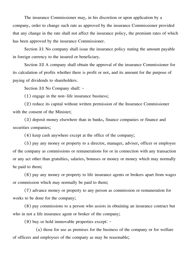The insurance Commissioner may, in his discretion or upon application by a company, order to change such rate as approved by the insurance Commissioner provided that any change in the rate shall not affect the insurance policy, the premium rates of which has been approved by the insurance Commissioner.

Section 31 No company shall issue the insurance policy stating the amount payable in foreign currency to the insured or beneficiary.

Section 32 A company shall obtain the approval of the insurance Commissioner for its calculation of profits whether there is profit or not, and its amount for the purpose of paying of dividends to shareholders.

Section 33 No Company shall: -

(1) engage in the non-life insurance business;

(2) reduce its capital without written permission of the Insurance Commissioner with the consent of the Minister;

(3) deposit money elsewhere than in banks, finance companies or finance and securities companies;

(4) keep cash anywhere except at the office of the company;

(5) pay any money or property to a director, manager, adviser, officer or employee of the company as commissions or remunerations for or in connection with any transaction or any act other than gratulties, salaries, bonuses or money or money which may normally be paid to them;

(6) pay any money or property to life insurance agents or brokers apart from wages or commission which may normally be paid to them;

(7) advance money or property to any person as commission or remuneration for works to be done for the company;

(8) pay commissions to a person who assists in obtaining an insurance contract but who in not a life insurance agent or broker of the company;

(9) buy or hold immovable properties except: -

(a) those for use as premises for the business of the company or for welfare of officers and employees of the company as may be reasonable;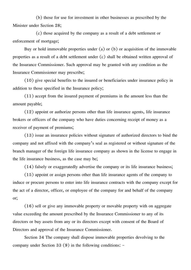(b) those for use for investment in other businesses as prescribed by the Minister under Section 28;

(c) those acquired by the company as a result of a debt settlement or enforcement of mortgage;

Buy or hold immovable properties under (a) or (b) or acquisition of the immovable properties as a result of a debt settlement under (c) shall be obtained written approval of the Insurance Commissioner. Such approval may be granted with any condition as the Insurance Commissioner may prescribe;

(10) give special benefits to the insured or beneficiaries under insurance policy in addition to those specified in the Insurance policy;

(11) accept from the insured payment of premiums in the amount less than the amount payable;

(12) appoint or authorize persons other than life insurance agents, life insurance brokers or officers of the company who have duties concerning receipt of money as a receiver of payment of premiums;

(13) issue an insurance policies without signature of authorized directors to bind the company and not affixed with the company's seal as registered or without signature of the branch manager of the foreign life insurance company as shown in the license to engage in the life insurance business, as the case may be;

(14) falsely or exaggeratedly advertise the company or its life insurance business;

(15) appoint or assign persons other than life insurance agents of the company to induce or procure persons to enter into life insurance contracts with the company except for the act of a director, officer, or employee of the company for and behalf of the company or;

(16) sell or give any immovable property or movable property with on aggregate value exceeding the amount prescribed by the Insurance Commissioner to any of its directors or buy assets from any or its directors except with consent of the Board of Directors and approval of the Insurance Commissioner.

Section 34 The company shall dispose immovable properties devolving to the company under Section 33 (9) in the following conditions: -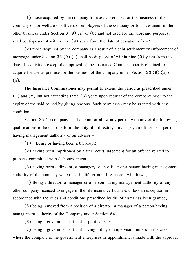(1) those acquired by the company for use as premises for the business of the company or for welfare of officers or employees of the company or for investment in the other business under Section 3 (9) (a) or (b) and not used for the aforesaid purposes, shall be disposed of within nine (9) years form the date of cessation of use;

(2) those acquired by the company as a result of a debt settlement or enforcement of mortgage under Section 33 (9) (c) shall be disposed of within nine (9) years from the date of acquisition except the approval of the Insurance Commissioner is obtained to acquire for use as premise for the business of the company under Section 33 (9) (a) or (b).

The Insurance Commissioner may permit to extend the period as prescribed under (1) and (2) but not exceeding three (3) years upon request of the company prior to the expiry of the said period by giving reasons. Such permission may be granted with any condition.

Section 35 No company shall appoint or allow any person with any of the following qualifications to be or to perform the duty of a director, a manager, an officer or a person having management authority or an adviser;-

(1) Being or having been a bankrupt;

(2) having been imprisoned by a final court judgement for an offence related to property committed with dishonest intent;

(3) having been a director, a manager, or an officer or a person having management authority of the company which had its life or non-life license withdrawn;

(4) Being a director, a manager or a person having management authority of any other company licensed to engage in the life insurance business unless an exception in accordance with the rules and conditions prescribed by the Minister has been granted;

(5) being removed from a position of a director, a manager of a person having management authority of the Company under Section 54;

(6) being a government official in political service;

(7) being a government official having a duty of supervision unless in the case where the company is the government enterprises or appointment is made with the approval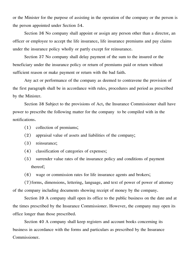or the Minister for the purpose of assisting in the operation of the company or the person is the person appointed under Section 54.

Section 36 No company shall appoint or assign any person other than a director, an officer or employee to accept the life insurance, life insurance premiums and pay claims under the insurance policy wholly or partly except for reinsurance.

Section 37 No company shall delay payment of the sum to the insured or the beneficiary under the insurance policy or return of premiums paid or return without sufficient reason or make payment or return with the bad faith.

Any act or performance of the company as deemed to contravene the provision of the first paragraph shall be in accordance with rules, procedures and period as prescribed by the Minister.

Section 38 Subject to the provisions of Act, the Insurance Commissioner shall have power to prescribe the following matter for the company to be compiled with in the notifications.

- (1) collection of premiums;
- (2) appraisal value of assets and liabilities of the company;
- (3) reinsurance;
- (4) classification of categories of expenses;
- (5) surrender value rates of the insurance policy and conditions of payment thereof;
- (6) wage or commission rates for life insurance agents and brokers;

(7)forms, dimensions, lettering, language, and text of power of power of attorney of the company including documents showing receipt of money by the company.

Section 39 A company shall open its office to the public business on the date and at the times prescribed by the Insurance Commissioner. However, the company may open its office longer than those prescribed.

Section 40 A company shall keep registers and account books concerning its business in accordance with the forms and particulars as prescribed by the Insurance Commissioner.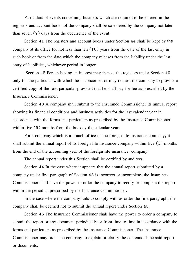Particulars of events concerning business which are required to be entered in the registers and account books of the company shall be so entered by the company not later than seven (7) days from the occurrence of the event.

Section 41 The registers and account books under Section 44 shall be kept by **the** company at its office for not less than ten (10) years from the date of the last entry in such book or from the date which the company releases from the liability under the last entry of liabilities, whichever period in longer.

 Section 42 Person having an interest may inspect the registers under Section 40 only for the particular with which he is concerned or may request the company to provide a certified copy of the said particular provided that he shall pay for fee as prescribed by the Insurance Commissioner.

Section 43 A company shall submit to the Insurance Commissioner its annual report showing its financial conditions and business activities for the last calendar year in accordance with the forms and particulars as prescribed by the Insurance Commissioner within five  $(5)$  months from the last day the calendar year.

For a company which is a branch office of the foreign life insurance company, it shall submit the annual report of its foreign life insurance company within five (5) months from the end of the accounting year of the foreign life insurance company.

The annual report under this Section shall be certified by auditors.

Section 44 In the case where it appears that the annual report submitted by a company under first paragraph of Section 43 is incorrect or incomplete, the Insurance Commissioner shall have the power to order the company to rectify or complete the report within the period as prescribed by the Insurance Commissioner.

In the case where the company fails to comply with as order the first paragraph, the company shall be deemed not to submit the annual report under Section 43.

Section 45 The Insurance Commissioner shall have the power to order a company to submit the report or any document periodically or from time to time in accordance with the forms and particulars as prescribed by the Insurance Commissioner. The Insurance Commissioner may order the company to explain or clarify the contents of the said report or documents.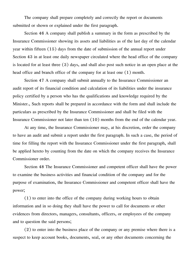The company shall prepare completely and correctly the report or documents submitted or shown or explained under the first paragraph.

Section 46 A company shall publish a summary in the form as prescribed by the Insurance Commissioner showing its assets and liabilities as of the last day of the calendar year within fifteen (15) days from the date of submission of the annual report under Section 43 in at least one daily newspaper circulated where the head office of the company is located for at least three (3) days, and shall also post such notice in an open place at the head office and branch office of the company for at least one (1) month.

Section 47 A company shall submit annually to the Insurance Commissioner an audit report of its financial condition and calculation of its liabilities under the insurance policy certified by a person who has the qualifications and knowledge required by the Minister., Such reports shall be prepared in accordance with the form and shall include the particulars as prescribed by the Insurance Commissioner and shall be filed with the Insurance Commissioner not later than ten (10) months from the end of the calendar year.

At any time, the Insurance Commissioner may, at his discretion, order the company to have an audit and submit a report under the first paragraph. In such a case, the period of time for filling the report with the Insurance Commissioner under the first paragraph, shall be applied hereto by counting from the date on which the company receives the Insurance Commissioner order.

Section 48 The Insurance Commissioner and competent officer shall have the power to examine the business activities and financial condition of the company and for the purpose of examination, the Insurance Commissioner and competent officer shall have the power;

(1) to enter into the office of the company during working hours to obtain information and in so doing they shall have the power to call for documents or other evidences from directors, managers, consultants, officers, or employees of the company and to question the said persons;

(2) to enter into the business place of the company or any premise where there is a suspect to keep account books, documents, seal, or any other documents concerning the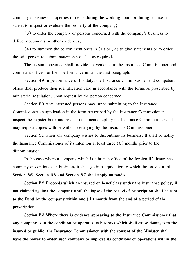company's business, properties or debts during the working hours or during sunrise and sunset to inspect or evaluate the property of the company;

(3) to order the company or persons concerned with the company's business to deliver documents or other evidences;

 $(4)$  to summon the person mentioned in  $(1)$  or  $(3)$  to give statements or to order the said person to submit statements of fact as required.

The person concerned shall provide convenience to the Insurance Commissioner and competent officer for their performance under the first paragraph.

Section 49 In performance of his duty, the Insurance Commissioner and competent office shall produce their identification card in accordance with the forms as prescribed by ministerial regulation, upon request by the person concerned.

Section 50 Any interested persons may, upon submitting to the Insurance Commissioner an application in the form perscribed by the Insurance Commissioner, inspect the register book and related documents kept by the Insurance Commissioner and may request copies with or without certifying by the Insurance Commissioner.

Section 51 when any company wishes to discontinue its business, It shall so notify the Insurance Commissioner of its intention at least three (3) months prior to the discontinuation.

In the case where a company which is a branch office of the foreign life insurance company discontinues its business, it shall go into liquidation to which the **provision of Section 65, Section 66 and Section 67 shall apply mutandis.**

**Section 52 Proceeds which an insured or beneficlary under the insurance policy, if not claimed against the company until the lapse of the period of prescription shall be sent to the Fund by the company within one (1) month from the end of a period of the prescription.**

**Section 53 Where there is evidence appearing to the Insurance Commissioner that any company is in the condition or operates its business which shall cause damages to the insured or public, the Insurance Commissioner with the consent of the Minister shall have the power to order such company to improve its conditions or operations within the**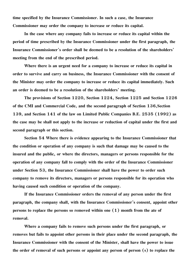**time specified by the Insurance Commissioner. In such a case, the Insurance Commissioner may order the company to increase or reduce its capital.**

**In the case where any company fails to increase or reduce its capital within the period of time prescribed by the Insurance Commissioner under the first paragraph, the Insurance Commissioner's order shall be deemed to be a resolution of the shareholders' meeting from the end of the prescribed period.**

**Where there is an urgent need for a company to increase or reduce its capital in order to survive and carry on business, the Insurance Commissioner with the consent of the Minister may order the company to increase or reduce its capital immediately. Such an order is deemed to be a resolution of the shareholders' meeting.**

**The provisions of Section 1220, Section 1224, Section 1225 and Section 1226 of the CMI and Commercial Code, and the second paragraph of Section 136,Section 139, and Section 141 of the law on Limited Public Companies B.E. 2535 (1992) as the case may be shall not apply to the increase or reduction of capital under the first and second paragraph or this section.**

**Section 54 Where there is evidence appearing to the Insurance Commissioner that the condition or operation of any company is such that damage may be caused to the insured and the public, or where the directors, managers or persons responsible for the operation of any company fall to comply with the order of the Insurance Commissioner under Section 53, the Insurance Commissioner shall have the power to order such company to remove its directors, managers or persons responsible for its operation who having caused such condition or operation of the company.**

**If the Insurance Commissioner orders the removal of any person under the first paragraph, the company shall, with the Insurance Commissioner's consent, appoint other persons to replace the persons so removed within one (1) month from the ate of removal.**

**Where a company fails to remove such persons under the first paragraph, or removes but fails to appoint other persons in their place under the second paragraph, the Insurance Commissioner with the consent of the Minister, shall have the power to issue the order of removal of such persons or appoint any person of person (s) to replace the**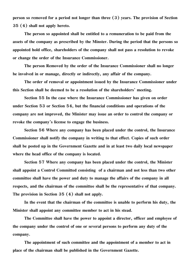**person so removed for a period not longer than three (3) years. The provision of Section 35 (4) shall not apply hereto.**

**The person so appointed shall be entitled to a remuneration to be paid from the assets of the company as prescribed by the Minster. During the period that the persons so appointed hold office, shareholders of the company shall not pass a resolution to revoke or change the order of the Insurance Commissioner.**

**The person Removed by the order of the Insurance Commissioner shall no longer be involved in or manage, directly or indirectly, any affair of the company.**

**The order of removal or appointment issued by the Insurance Commissioner under this Section shall be deemed to be a resolution of the shareholders' meeting.**

**Section 55 In the case where the Insurance Commissioner has given on order under Section 53 or Section 54, but the financial conditions and operations of the company are not improved, the Minister may issue an order to control the company or revoke the company's license to engage the business.**

**Section 56 Where any company has been placed under the control, the Insurance Commissioner shall notify the company in writing to that effect. Copies of such order shall be posted up in the Government Gazette and in at least two daily local newspaper where the head office of the company is located.**

**Section 57 Where any company has been placed under the control, the Minister shall appoint a Control Committed consisting of a chairman and not less than two other committee shall have the power and duty to manage the affairs of the company in all respects, and the chairman of the committee shall be the representative of that company. The provision in Section 35 (4) shall not apply.**

**In the event that the chairman of the committee is unable to perform his duty, the Minister shall appoint any committee member to act in his stead.**

**The Committee shall have the power to appoint a director, officer and employee of the company under the control of one or several persons to perform any duty of the company.**

**The appointment of such committee and the appointment of a member to act in place of the chairman shall be published in the Government Gazette.**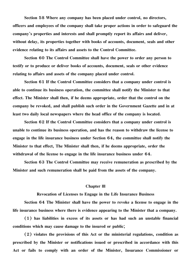**Section 58 Where any company has been placed under control, no directors, officers and employees of the company shall take proper actions in order to safeguard the company's properties and interests and shall promptly report its affairs and deliver, without delay, its properties together with books of accounts, document, seals and other evidence relating to its affairs and assets to the Control Committee.**

**Section 60 The Control Committee shall have the power to order any person to testify or to produce or deliver books of accounts, document, seals or other evidence relating to affairs and assets of the company placed under control.**

**Section 61 If the Control Committee considers that a company under control is able to continue its business operation, the committee shall notify the Minister to that effect. The Minister shall then, if he deems appropriate, order that the control on the company be revoked, and shall publish such order in the Government Gazette and in at least two daily local newspapers where the head office of the company is located.**

**Section 62 If the Control Committee considers that a company under control is unable to continue its business operation, and has the reason to withdraw the license to engage in the life insurance business under Section 64, the committee shall notify the Minister to that effect, The Minister shall then, if he deems appropriate, order the withdrawal of the license to engage in the life insurance business under 64.**

**Section 63 The Control Committee may receive remuneration as prescribed by the Minister and such remuneration shall be paid from the assets of the company.**

#### **Chapter lll**

**Revocation of Licenses to Engage in the Life Insurance Business**

**Section 64 The Minister shall have the power to revoke a license to engage in the life insurance business where there is evidence appearing to the Minister that a company.**

**(1) has liabilities in excess of its assets or has had such an unstable financial conditions which may cause damage to the insured or public;**

**(2) violates the provisions of this Act or the ministerial regulations, condition as prescribed by the Minister or notifications issued or prescribed in accordance with this Act or fails to comply with an order of the Minister, Insurance Commissioner or**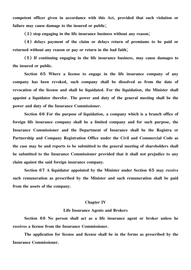**competent officer given in accordance with this Act, provided that such violation or failure may cause damage to the insured or public;**

**(3) stop engaging in the life insurance business without any reason;**

**(4) delays payment of the claim or delays return of premiums to be paid or returned without any reason or pay or return in the bad faith;**

**(5) If continuing engaging in the life insurance business, may cause damages to the insured or public.**

**Section 65 Where a license to engage in the life insurance company of any company has been revoked, such company shall be dissolved as from the date of revocation of the license and shall be liquidated. For the liquidation, the Minister shall appoint a liquidator therefor. The power and duty of the general meeting shall be the power and duty of the Insurance Commissioner.**

**Section 66 For the purpose of liquidation, a company which is a branch office of foreign life insurance company shall be a limited company and for such purpose, the Insurance Commissioner and the Department of Insurance shall be the Registra or Partnership and Company Registration Office under the Civil and Commercial Code as the case may be and reports to be submitted to the general meeting of shareholders shall be submitted to the Insurance Commissioner provided that it shall not prejudice to any claim against the said foreign insurance company.**

**Section 67 A liquidator appointed by the Minister under Section 65 may receive such remuneration as prescribed by the Minister and such remuneration shall be paid from the assets of the company.**

#### **Chapter IV**

#### **Life Insurance Agents and Brokers**

**Section 68 No person shall act as a life insurance agent or broker unless he receives a license from the Insurance Commissioner.**

**The application for license and license shall be in the forms as prescribed by the Insurance Commissioner.**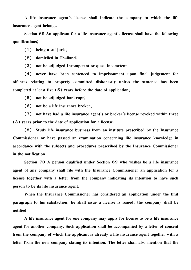**A life insurance agent's license shall indicate the company to which the life insurance agent belongs.**

**Section 69 An applicant for a life insurance agent's license shall have the following qualifications;**

**(1) being a sui juris;**

**(2) domiciled in Thailand;**

**(3) not be adjudged Incompetent or quasi incometent**

**(4) never have been sentenced to imprisonment upon final judgement for offences relating to property committed dishonestly unless the sentence has been completed at least five (5) years before the date of application;**

**(5) not be adjudged bankrupt;**

**(6) not be a life insurance broker;**

**(7) not have had a life insurance agent's or broker's license revoked within three (3) years prior to the date of application for a license.**

**(8) Study life insurance business from an institute prescribed by the Insurance Commissioner or have passed an examination concerning life insurance knowledge in accordance with the subjects and procedures prescribed by the Insurance Commissioner in the notification.**

**Section 70 A person qualified under Section 69 who wishes be a life insurance agent of any company shall file with the Insurance Commissioner an application for a license together with a letter from the company indicating its intention to have such person to be its life insurance agent.**

**When the Insurance Commissioner has considered an application under the first paragraph to his satisfaction, he shall issue a license is issued, the company shall be notified.**

**A life insurance agent for one company may apply for license to be a life insurance agent for another company. Such application shall be accompanied by a letter of consent from the company of which the applicant is already a life insurance agent together with a letter from the new company stating its intention. The letter shall also mention that the**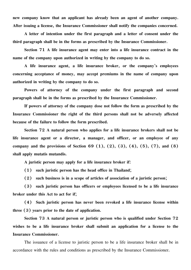**new company know that an applicant has already been an agent of another company. After issuing a license, the Insurance Commissioner shall notify the companies concerned.**

**A letter of intention under the first paragraph and a letter of consent under the third paragraph shall be in the forms as prescribed by the Insurance Commissioner.**

**Section 71 A life insurance agent may enter into a life insurance contract in the name of the company upon authorized in writing by the company to do so.**

**A life insurance agent, a life insurance broker, or the company's employees concerning acceptance of money, may accept premiums in the name of company upon authorized in writing by the company to do so.**

**Powers of attorney of the company under the first paragraph and second paragraph shall be in the forms as prescribed by the Insurance Commissioner.**

**If powers of attorney of the company dose not follow the form as prescribed by the Insurance Commissioner the right of the third persons shall not be adversely affected because of the failure to follow the form prescribed.**

**Section 72 A natural person who applies for a life insurance brokers shall not be life insurance agent or a director, a manager, and officer, or an employee of any company and the provisions of Section 69 (1), (2), (3), (4), (5), (7), and (8) shall apply mutatis mutandis.**

**A juristic person may apply for a life insurance broker if:**

**(1) such juristic person has the head office in Thailand;**

**(2) such business is in a scope of articles of association of a juristic person;**

**(3) such juristic person has officers or employees licensed to be a life insurance broker under this Act to act for if;**

**(4) Such juristic person has never been revoked a life insurance license within three (3) years prior to the date of application.**

**Section 73 A natural person or juristic person who is qualified under Section 72 wishes to be a life insurance broker shall submit an application for a license to the Insurance Commissioner.**

The issuance of a license to juristic person to be a life insurance broker shall be in accordance with the rules and conditions as prescribed by the Insurance Commissioner.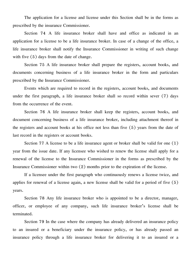The application for a license and license under this Section shall be in the forms as prescribed by the insurance Commissioner.

Section 74 A life insurance broker shall have and office as indicated in an application for a license to be a life insurance broker. In case of a change of the office, a life insurance broker shall notify the Insurance Commissioner in writing of such change with five  $(5)$  days from the date of change.

Section 75 A life insurance broker shall prepare the registers, account books, and documents concerning business of a life insurance broker in the form and particulars prescribed by the Insurance Commissioner.

Events which are required to record in the registers, account books, and documents under the first paragraph, a life insurance broker shall so record within sever (7) days from the occurrence of the event.

Section 76 A life insurance broker shall keep the registers, account books, and document concerning business of a life insurance broker, including attachment thereof in the registers and account books at his office not less than five (5) years from the date of last record in the registers or account books.

Section 77 A license to be a life insurance agent or broker shall be valid for one  $(1)$ year from the issue date. If any licensee who wished to renew the license shall apply for a renewal of the license to the Insurance Commissioner in the forms as prescribed by the Insurance Commissioner within two (2) months prior to the expiration of the license.

If a licensee under the first paragraph who continuously renews a license twice, and applies for renewal of a license again, a new license shall be valid for a period of five (5) years.

Section 78 Any life insurance broker who is appointed to be a director, manager, officer, or employee of any company, such life insurance broker's license shall be terminated.

Section 79 In the case where the company has already delivered an insurance policy to an insured or a beneficiary under the insurance policy, or has already passed an insurance policy through a life insurance broker for delivering it to an insured or a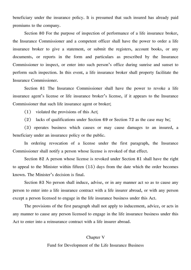beneficiary under the insurance policy. It is presumed that such insured has already paid premiums to the company.

Section 80 For the purpose of inspection of performance of a life insurance broker, the Insurance Commissioner and a competent officer shall have the power to order a life insurance broker to give a statement, or submit the registers, account books, or any documents, or reports in the form and particulars as prescribed by the Insurance Commissioner to inspect, or enter into such person's office during sunrise and sunset to perform such inspection. In this event, a life insurance broker shall property facilitate the Insurance Commissioner.

Section 81 The Insurance Commissioner shall have the power to revoke a life insurance agent's license or life insurance broker's license, if it appears to the Insurance Commissioner that such life insurance agent or broker;

(1) violated the provisions of this Act;

(2) lacks of qualifications under Section 69 or Section 72 as the case may be;

(3) operates business which causes or may cause damages to an insured, a beneficiary under an insurance policy or the public.

In ordering revocation of a license under the first paragraph, the Insurance Commissioner shall notify a person whose license is revoked of that effect.

Section 82 A person whose license is revoked under Section 81 shall have the right to appeal to the Minister within fifteen (15) days from the date which the order becomes known. The Minister's decision is final.

Section 83 No person shall induce, advise, or in any manner act so as to cause any person to enter into a life insurance contract with a life insurer abroad, or with any person except a person licensed to engage in the life insurance business under this Act.

The provisions of the first paragraph shall not apply to inducement, advice, or acts in any manner to cause any person licensed to engage in the life insurance business under this Act to enter into a reinsurance contract with a life insurer abroad.

# Chapter V Fund for Development of the Life Insurance Business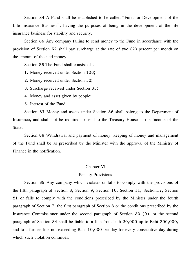Section 84 A Fund shall be established to be called "Fund for Development of the Life Insurance Business", having the purposes of being in the development of the life insurance business for stability and security.

Section 85 Any company falling to send money to the Fund in accordance with the provision of Section 52 shall pay surcharge at the rate of two (2) percent per month on the amount of the said money.

Section 86 The Fund shall consist of :-

1. Money received under Section 126;

2. Money received under Section 52;

3. Surcharge received under Section 85;

4. Money and asset given by people;

5. Interest of the Fund.

Section 87 Money and assets under Section 86 shall belong to the Department of Insurance, and shall not be required to send to the Treasury House as the Income of the State.

Section 88 Withdrawal and payment of money, keeping of money and management of the Fund shall be as prescribed by the Minister with the approval of the Ministry of Finance in the notification.

## Chapter VI

## Penalty Provisions

Section 89 Any company which violates or falls to comply with the provisions of the fifth paragraph of Section 8, Section 9, Section 10, Section 11, Section17, Section 21 or falls to comply with the conditions prescribed by the Minister under the fourth paragraph of Section 7, the first paragraph of Section 8 or the conditions prescribed by the Insurance Commissioner under the second paragraph of Section 33 (9), or the second paragraph of Section 34 shall be liable to a fine from bath 20,000 up to Baht 200,000, and to a further fine not exceeding Baht 10,000 per day for every consecutive day during which such violation continues.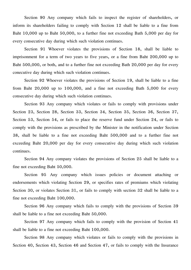Section 90 Any company which fails to inspect the register of shareholders, or inform its shareholders failing to comply with Section 12 shall be liable to a fine from Baht 10,000 up to Baht 50,000, to a further fine not exceeding Bath 5,000 per day for every consecutive day during which such violation continues.

Section 91 Whoever violates the provisions of Section 18, shall be liable to imprisonment for a term of two years to five years, or a fine from Baht 200,000 up to Baht 500,000, or both, and to a further fine not exceeding Bath 20,000 per day for every conecutive day during which such violation continues.

Section 92 Whoever violates the provisions of Section 19, shall be liable to a fine from Baht 20,000 up to 100,000, and a fine not exceeding Bath 5,000 for every consecutive day during which such violation continues.

Section 93 Any company which violates or fails to comply with provisions under Section 23, Section 28, Section 33, Section 34, Section 35, Section 36, Section 37, Section 53, Section 54, or fails to place the reserve fund under Section 24, or fails to comply with the provisions as prescribed by the Minister in the notification under Section 38, shall be liable to a fine not exceeding Baht 500,000 and to a further fine not exceeding Baht 20,000 per day for every consecutive day during which such violation continues.

Section 94 Any company violates the provisions of Section 25 shall be liable to a fine not exceeding Baht 50,000.

Section 95 Any company which issues policies or document attaching or endorsements which violating Section 29, or specifies rates of premiums which violating Section 30, or violates Section 31, or fails to comply with section 32 shall be liable to a fine not exceeding Baht 100,000.

Section 96 Any company which fails to comply with the provisions of Section 39 shall be liable to a fine not exceeding Baht 50,000.

Section 97 Any company which fails to comply with the provision of Section 41 shall be liable to a fine not exceeding Baht 100,000.

Section 98 Any company which violates or fails to comply with the provisions in Section 40, Section 43, Section 46 and Section 47, or fails to comply with the Insurance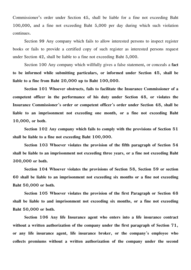Commissioner's order under Section 45, shall be liable for a fine not exceeding Baht 100,000, and a fine not exceeding Baht 5,000 per day during which such violation continues.

Section 99 Any company which fails to allow interested persons to inspect register books or fails to provide a certified copy of such register as interested persons request under Section 42, shall be liable to a fine not exceeding Baht 5,000.

Section 100 Any company which willfully gives a false statement, or conceals a **fact to be informed while submitting particulars, or informed under Section 45, shall be liable to a fine from Baht 20,000 up to Baht 100,000.**

**Section 101 Whoever obstructs, fails to facilitate the Insurance Commissioner of a competent officer in the performance of his duty under Section 48, or violates the Insurance Commissioner's order or competent officer's order under Section 48, shall be liable to an imprisonment not exceeding one month, or a fine not exceeding Baht 10,000, or both.**

**Section 102 Any company which fails to comply with the provisions of Section 51 shall be liable to a fine not exceeding Baht 100,000.**

**Section 103 Whoever violates the provision of the fifth paragraph of Section 54 shall be liable to an imprisonment not exceeding three years, or a fine not exceeding Baht 300,000 or both.**

**Section 104 Whoever violates the provisions of Section 58, Section 59 or section 60 shall be liable to an imprisonment not exceeding six months or a fine not exceeding Baht 50,000 or both.**

**Section 105 Whoever violates the provision of the first Paragraph or Section 68 shall be liable to and imprisonment not exceeding six months, or a fine not exceeding Baht 50,000 or both.**

**Section 106 Any life Insurance agent who enters into a life insurance contract without a written authorization of the company under the first paragraph of Section 71, or any life insurance agent, life insurance broker, or the company's employee who collects premiums without a written authorization of the company under the second**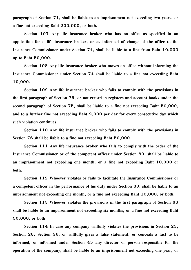**paragraph of Section 71, shall be liable to an imprisonment not exceeding two years, or a fine not exceeding Baht 200,000, or both.**

**Section 107 Any life insurance broker who has no office as specified in an application for a life insurance broker, or as informed of change of the office to the Insurance Commissioner under Section 74, shall be liable to a fine from Baht 10,000 up to Baht 50,000.**

**Section 108 Any life insurance broker who moves an office without informing the Insurance Commissioner under Section 74 shall be liable to a fine not exceeding Baht 10,000.**

**Section 109 Any life insurance broker who fails to comply with the provisions in the first paragraph of Section 75, or not record in registers and account books under the second paragraph of Section 75, shall be liable to a fine not exceeding Baht 50,000, and to a further fine not exceeding Baht 2,000 per day for every consecutive day which such violation continues.**

**Section 110 Any life insurance broker who fails to comply with the provisions in Section 76 shall be liable to a fine not exceeding Baht 50,000.**

**Section 111 Any life insurance broker who fails to comply with the order of the Insurance Commissioner or of the competent officer under Section 80, shall be liable to an imprisonment not exceeding one month, or a fine not exceeding Baht 10,000 or both.**

**Section 112 Whoever violates or fails to facilitate the Insurance Commissioner or a competent officer in the performance of his duty under Section 80, shall be liable to an imprisonment not exceeding one month, or a fine not exceeding Baht 10,000, or both.**

**Section 113 Whoever violates the provisions in the first paragraph of Section 83 shall be liable to an imprisonment not exceeding six months, or a fine not exceeding Baht 50,000, or both.**

**Section 114 In case any company willfully violates the provisions in Section 23, Section 28, Section 36, or willfully gives a false statement, or conceals a fact to be informed, or informed under Section 45 any director or person responsible for the operation of the company, shall be liable to an imprisonment not exceeding one year, or**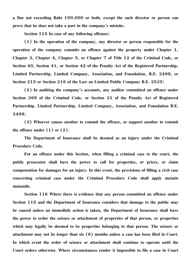**a fine not exceeding Baht 100,000 or both, except the such director or person can prove that he does not take a part in the company's mistake.**

**Section 115 In case of any following offenses:**

**(1) In the operation of the company, any director or person responsible for the operation of the company commits an offence against the property under Chapter 1, Chapter 3, Chapter 4, Chapter 5, or Chapter 7 of Title 12 of the Criminal Code, or Section 40, Section 41, or Section 42 of the Penalty Act of the Registered Partnership, Limited Partnership, Limited Company, Association, and Foundation, B.E. 2499, or Section 215 or Section 216 of the Law on Limited Public Company B.E. 2535:**

**(2) In auditing the company's accounts, any auditor committed an offence under Section 269 of the Criminal Code, or Section 31 of the Penalty Act of Registered Partnership, Limited Partnership, Limited Company, Association, and Foundation B.E. 2499;**

**(3) Whoever causes another to commit the offence, or support another to commit the offence under (1) or (2).**

**The Department of Insurance shall be deemed as an injury under the Criminal Procedure Code.**

**For an offence under this Section, when filling a criminal case to the court, the public prosecutor shall have the power to call for properties, or prices, or claim compensation for damages for an injury. In this event, the provisions of filling a civil case concerning criminal case under the Criminal Procedure Code shall apply mutatis mutandis.**

**Section 116 Where there is evidence that any person committed an offence under Section 115 and the Department of Insurance considers that damage to the public may be caused unless an immedlafe action is taken, the Department of Insurance shall have the power to order the seizure or attachment of properties of that person, or properties which may legally be deemed to be properties belonging to that person. The seizure or attachment may not be longer than six (6) months unless a case has been filed in Court. In which event the order of seizure or attachment shall continue to operate until the Court orders otherwise. Where circumstances render it impossible to file a case in Court**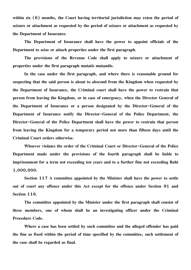**within six (6) months, the Court having territorial jurisdiction may exten the period of seizure or attachment as requested by the period of seizure or attachment as requested by the Department of Insurance.**

**The Department of Insurance shall have the power to appoint officials of the Department to seize or attach properties under the first paragraph.**

**The provisions of the Revenue Code shall apply to seizure or attachment of properties under the first paragraph mutatis mutandis.**

**In the case under the first paragraph, and where there is reasonable ground for suspecting that the said person is about to abscond from the Kingdom when requested by the Department of Insurance, the Criminal court shall have the power to restrain that person from leaving the Kingdom, or in case of emergency, when the Director General of the Department of Insurance or a person designated by the Director-General of the Department of Insurance notify the Director-General of the Police Department, the Director-General of the Police Department shall have the power to restrain that person from leaving the Kingdom for a temporary period not more than fifteen days until the Criminal Court orders otherwise.**

**Whoever violates the order of the Criminal Court or Director-General of the Police Department made under the provisions of the fourth paragraph shall be liable to imprisonment for a term not exceeding ten years and to a further fine not exceeding Baht 1,000,000.**

**Section 117 A committee appointed by the Minister shall have the power to settle out of court any offence under this Act except for the offence under Section 91 and Section 116.**

**The committee appointed by the Minister under the first paragraph shall consist of three members, one of whom shall be an investigating officer under the Criminal Procedure Code.**

**Where a case has been settled by such committee and the alleged offender has paid the fine as fixed within the period of time specified by the committee, such settlement of the case shall be regarded as final.**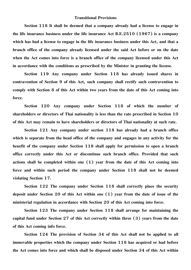### **Transitional Provisions**

**Section 118 It shall be deemed that a company already had a license to engage in the life insurance business under the life insurance Act B.E.2510 (1967) is a company which has had a license to engage in the life insurance business under this Act, and that a branch office of the company already licensed under the said Act before or on the date when the Act comes into force is a branch office of the company licensed under this Act in accordance with the conditions as prescribed by the Minister in granting the license.**

**Section 119 Any company under Section 118 has already issued shares in contravention of Section 9 of this Act, such company shall rectify such contravention to comply with Section 8 of this Act within two years from the date of this Act coming into force.**

**Section 120 Any company under Section 118 of which the number of shareholders or directors of Thai nationality is less than the rate prescribed in Section 10 of this Act may remain to have shareholders or directors of Thai nationality at such rate.**

**Section 121 Any company under section 118 has already had a branch office which is separate from the head office of the company and engages in any activity for the benefit of the company under Section 118 shall apply for permission to open a branch office correctly under this Act or discontinue such branch office. Provided that such actions shall be completed within one (1) year from the date of this Act coming into force and within such period the company under Section 118 shall not be deemed violating Section 17.**

**Section 122 The company under Section 118 shall correctly place the security deposit under Section 20 of this Act within one (1) year from the date of issue of the ministerial regulation in accordance with Section 20 of this Act coming into force.**

**Section 123 The company under Section 118 shall arrange for maintaining the capital fund under Section 27 of this Act correctly within three (3) years from the date of this Act coming info force.**

**Section 124 The provision of Section 34 of this Act shall not be applied to all immovable properties which the company under Section 118 has acquired or had before the Act comes into force and which shall be disposed under Section 34 of this Act within**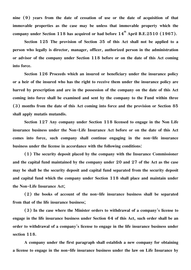**nine (9) years from the date of cessation of use or the date of acquisition of that immovable properties as the case may be unless that immovable property which the company under Section 118 has acquired or had before**  $14^{\text{th}}$  **April B.E.2510 (1967).** 

**Section 125 The provision of Section 35 of this Act shall not be applied to a person who legally is director, manager, officer, authorized person in the administration or advisor of the company under Section 118 before or on the date of this Act coming into force.**

**Section 126 Proceeds which an insured or beneficiary under the insurance policy or a heir of the insured who has the right to receive them under the insurance policy are barred by prescription and are in the possession of the company on the date of this Act coming into force shall be examined and sent by the company to the Fund within three (3) months from the date of this Act coming into force and the provision or Section 85 shall apply mutatis mutandis.**

**Section 127 Any company under Section 118 licensed to engage in the Non Life insurance business under the Non-Life Insurance Act before or on the date of this Act comes into force, such company shall continue engaging in the non-life insurance business under the license in accordance with the following conditions:**

**(1) The security deposit placed by the company with the Insurance Commissioner and the capital fund maintained by the company under 20 and 27 of the Act as the case may be shall be the security deposit and capital fund separated from the security deposit and capital fund which the company under Section 118 shall place and maintain under the Non-Life Insurance Act;**

**(2) the books of account of the non-life insurance business shall be separated from that of the life insurance business;**

**(3) In the case where the Minister orders to withdrawal of a company's license to engage in the life insurance business under Section 64 of this Act, such order shall be an order to withdrawal of a company's license to engage in the life insurance business under section 118.**

**A company under the first paragraph shall establish a new company for obtaining a license to engage in the non-life insurance business under the law on Life Insurance by**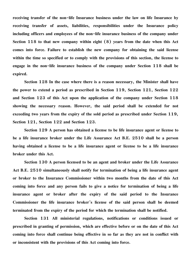**receiving transfer of the non-life Insurance business under the law on life Insurance by receiving transfer of assets, liabilities, responsibilities under the Insurance policy including officers and employees of the non-life insurance business of the company under Section 118 to that new company within eight (8) years from the date when this Act comes into force. Failure to establish the new company for obtaining the said license within the time so specified or to comply with the provisions of this section, the license to engage in the non-life insurance business of the company under Section 118 shall be expired.**

**Section 128 In the case where there is a reason necessary, the Minister shall have the power to extend a period as prescribed in Section 119, Section 121, Section 122 and Section 123 of this Act upon the application of the company under Section 118 showing the necessary reason. However, the said period shall be extended for not exceeding two years from the expiry of the sold period as prescribed under Section 119, Section 121, Section 122 and Section 123.**

**Section 129 A person has obtained a license to be life insurance agent or license to be a life insurance broker under the Life Assurance Act B.E. 2510 shall be a person having obtained a license to be a life insurance agent or license to be a life insurance broker under this Act.**

**Section 130 A person licensed to be an agent and broker under the Life Assurance Act B.E. 2510 simultaneously shall notify for termination of being a life insurance agent or broker to the Insurance Commissioner within two months from the date of this Act coming into force and any person fails to give a notice for termination of being a life insurance agent or broker after the expiry of the said period to the Insurance Commissioner the life insurance broker's license of the said person shall be deemed terminated from the expiry of the period for which the termination shall be notified.**

**Section 131 All ministerial regulations, notifications or conditions issued or prescribed in granting of permission, which are effective before or on the date of this Act coming into force shall continue being effective in so far as they are not in conflict with or inconsistent with the provisions of this Act coming into force.**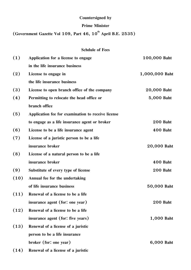# **Countersigned by**

## **Prime Minister**

(Government Gazette Vol 109, Part 46, 10<sup>th</sup> April B.E. 2535)

| <b>Schdule of Fees</b> |  |
|------------------------|--|
|                        |  |

| (1)  | Application for a license to engage                | 100,000 Baht    |
|------|----------------------------------------------------|-----------------|
|      | in the life insurance business                     |                 |
| (2)  | License to engage in                               | 1,000,000 Baht  |
|      | the life insurance business                        |                 |
| (3)  | License to open branch office of the company       | 20,000 Baht     |
| (4)  | Permitting to relocate the head office or          | 5,000 Baht      |
|      | branch office                                      |                 |
| (5)  | Application fee for examination to receive license |                 |
|      | to engage as a life insurance agent or broker      | <b>200 Baht</b> |
| (6)  | License to be a life insurance agent               | <b>400 Baht</b> |
| (7)  | License of a juristic person to be a life          |                 |
|      | insurance broker                                   | 20,000 Baht     |
| (8)  | License of a natural person to be a life           |                 |
|      | insurance broker                                   | <b>400 Baht</b> |
| (9)  | Substitute of every type of license                | 200 Baht        |
| (10) | Annual fee for the undertaking                     |                 |
|      | of life insurance business                         | 50,000 Baht     |
| (11) | Renewal of a license to be a life                  |                 |
|      | insurance agent (for: one year)                    | <b>200 Baht</b> |
| (12) | Renewal of a license to be a life                  |                 |
|      | insurance agent (for: five years)                  | 1,000 Baht      |
| (13) | Renewal of a license of a juristic                 |                 |
|      | person to be a life insurance                      |                 |
|      | broker (for: one year)                             | 6,000 Baht      |
| (14) | Renewal of a license of a juristic                 |                 |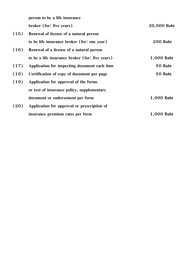**person to be a life insurance**

**broker (for: five years)** 30,000 Baht

| (15) | Renewal of license of a natural person          |                 |  |  |
|------|-------------------------------------------------|-----------------|--|--|
|      | to be life insurance broker (for: one year)     | <b>200 Baht</b> |  |  |
| (16) | Renewal of a license of a natural person        |                 |  |  |
|      | to be a life insurance broker (for: five years) | 1,000 Baht      |  |  |
| (17) | Application for inspecting document each time   | 50 Baht         |  |  |
| (18) | Certification of copy of document per page      | 50 Baht         |  |  |
| (19) | Application for approval of the forms           |                 |  |  |
|      | or text of insurance policy, supplementary      |                 |  |  |
|      | document or endorsement per form                | 1,000 Baht      |  |  |
| (20) | Application for approval or prescription of     |                 |  |  |
|      | insurance premium rates per form                | 1,000 Baht      |  |  |